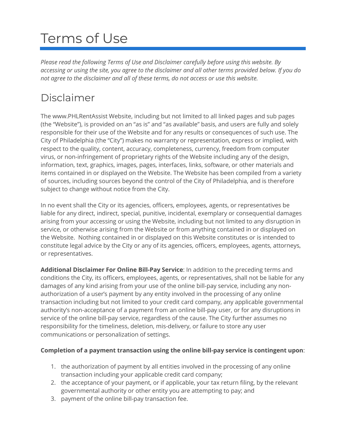# Terms of Use

*Please read the following Terms of Use and Disclaimer carefully before using this website. By accessing or using the site, you agree to the disclaimer and all other terms provided below. If you do not agree to the disclaimer and all of these terms, do not access or use this website.*

# Disclaimer

The www.PHLRentAssist Website, including but not limited to all linked pages and sub pages (the "Website"), is provided on an "as is" and "as available" basis, and users are fully and solely responsible for their use of the Website and for any results or consequences of such use. The City of Philadelphia (the "City") makes no warranty or representation, express or implied, with respect to the quality, content, accuracy, completeness, currency, freedom from computer virus, or non-infringement of proprietary rights of the Website including any of the design, information, text, graphics, images, pages, interfaces, links, software, or other materials and items contained in or displayed on the Website. The Website has been compiled from a variety of sources, including sources beyond the control of the City of Philadelphia, and is therefore subject to change without notice from the City.

In no event shall the City or its agencies, officers, employees, agents, or representatives be liable for any direct, indirect, special, punitive, incidental, exemplary or consequential damages arising from your accessing or using the Website, including but not limited to any disruption in service, or otherwise arising from the Website or from anything contained in or displayed on the Website. Nothing contained in or displayed on this Website constitutes or is intended to constitute legal advice by the City or any of its agencies, officers, employees, agents, attorneys, or representatives.

**Additional Disclaimer For Online Bill-Pay Service**: In addition to the preceding terms and conditions the City, its officers, employees, agents, or representatives, shall not be liable for any damages of any kind arising from your use of the online bill-pay service, including any nonauthorization of a user's payment by any entity involved in the processing of any online transaction including but not limited to your credit card company, any applicable governmental authority's non-acceptance of a payment from an online bill-pay user, or for any disruptions in service of the online bill-pay service, regardless of the cause. The City further assumes no responsibility for the timeliness, deletion, mis-delivery, or failure to store any user communications or personalization of settings.

#### **Completion of a payment transaction using the online bill-pay service is contingent upon**:

- 1. the authorization of payment by all entities involved in the processing of any online transaction including your applicable credit card company;
- 2. the acceptance of your payment, or if applicable, your tax return filing, by the relevant governmental authority or other entity you are attempting to pay; and
- 3. payment of the online bill-pay transaction fee.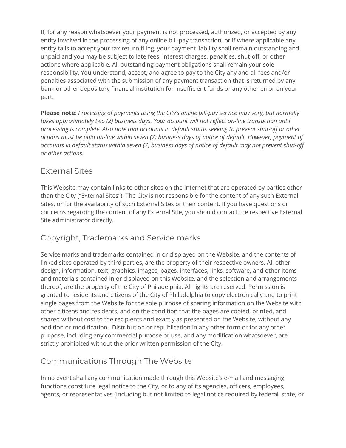If, for any reason whatsoever your payment is not processed, authorized, or accepted by any entity involved in the processing of any online bill-pay transaction, or if where applicable any entity fails to accept your tax return filing, your payment liability shall remain outstanding and unpaid and you may be subject to late fees, interest charges, penalties, shut-off, or other actions where applicable. All outstanding payment obligations shall remain your sole responsibility. You understand, accept, and agree to pay to the City any and all fees and/or penalties associated with the submission of any payment transaction that is returned by any bank or other depository financial institution for insufficient funds or any other error on your part.

**Please note**: *Processing of payments using the City's online bill-pay service may vary, but normally takes approximately two (2) business days. Your account will not reflect on-line transaction until processing is complete. Also note that accounts in default status seeking to prevent shut-off or other actions must be paid on-line within seven (7) business days of notice of default. However, payment of accounts in default status within seven (7) business days of notice of default may not prevent shut-off or other actions.*

#### External Sites

This Website may contain links to other sites on the Internet that are operated by parties other than the City ("External Sites"). The City is not responsible for the content of any such External Sites, or for the availability of such External Sites or their content. If you have questions or concerns regarding the content of any External Site, you should contact the respective External Site administrator directly.

## Copyright, Trademarks and Service marks

Service marks and trademarks contained in or displayed on the Website, and the contents of linked sites operated by third parties, are the property of their respective owners. All other design, information, text, graphics, images, pages, interfaces, links, software, and other items and materials contained in or displayed on this Website, and the selection and arrangements thereof, are the property of the City of Philadelphia. All rights are reserved. Permission is granted to residents and citizens of the City of Philadelphia to copy electronically and to print single pages from the Website for the sole purpose of sharing information on the Website with other citizens and residents, and on the condition that the pages are copied, printed, and shared without cost to the recipients and exactly as presented on the Website, without any addition or modification. Distribution or republication in any other form or for any other purpose, including any commercial purpose or use, and any modification whatsoever, are strictly prohibited without the prior written permission of the City.

# Communications Through The Website

In no event shall any communication made through this Website's e-mail and messaging functions constitute legal notice to the City, or to any of its agencies, officers, employees, agents, or representatives (including but not limited to legal notice required by federal, state, or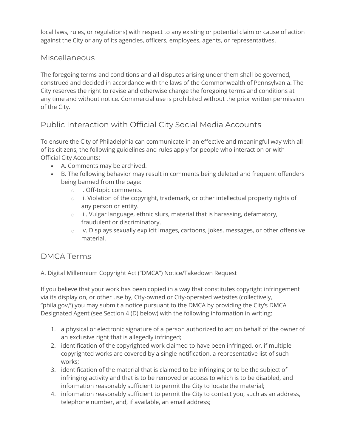local laws, rules, or regulations) with respect to any existing or potential claim or cause of action against the City or any of its agencies, officers, employees, agents, or representatives.

#### **Miscellaneous**

The foregoing terms and conditions and all disputes arising under them shall be governed, construed and decided in accordance with the laws of the Commonwealth of Pennsylvania. The City reserves the right to revise and otherwise change the foregoing terms and conditions at any time and without notice. Commercial use is prohibited without the prior written permission of the City.

## Public Interaction with Official City Social Media Accounts

To ensure the City of Philadelphia can communicate in an effective and meaningful way with all of its citizens, the following guidelines and rules apply for people who interact on or with Official City Accounts:

- A. Comments may be archived.
- B. The following behavior may result in comments being deleted and frequent offenders being banned from the page:
	- o i. Off-topic comments.
	- o ii. Violation of the copyright, trademark, or other intellectual property rights of any person or entity.
	- o iii. Vulgar language, ethnic slurs, material that is harassing, defamatory, fraudulent or discriminatory.
	- o iv. Displays sexually explicit images, cartoons, jokes, messages, or other offensive material.

## DMCA Terms

A. Digital Millennium Copyright Act ("DMCA") Notice/Takedown Request

If you believe that your work has been copied in a way that constitutes copyright infringement via its display on, or other use by, City-owned or City-operated websites (collectively, "phila.gov,") you may submit a notice pursuant to the DMCA by providing the City's DMCA Designated Agent (see Section 4 (D) below) with the following information in writing:

- 1. a physical or electronic signature of a person authorized to act on behalf of the owner of an exclusive right that is allegedly infringed;
- 2. identification of the copyrighted work claimed to have been infringed, or, if multiple copyrighted works are covered by a single notification, a representative list of such works;
- 3. identification of the material that is claimed to be infringing or to be the subject of infringing activity and that is to be removed or access to which is to be disabled, and information reasonably sufficient to permit the City to locate the material;
- 4. information reasonably sufficient to permit the City to contact you, such as an address, telephone number, and, if available, an email address;